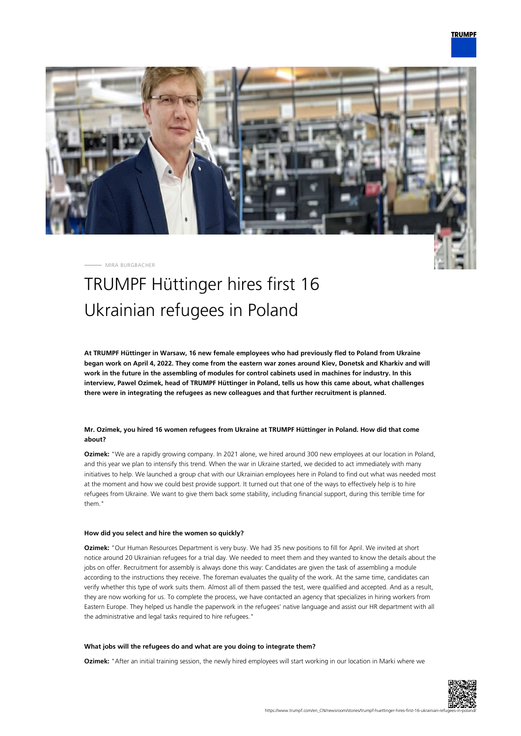

MIRA BURGBACHER

# TRUMPF Hüttinger hires first 16 Ukrainian refugees in Poland

**At TRUMPF Hüttinger in Warsaw, 16 new female employees who had previously fled to Poland from Ukraine began work on April 4, 2022. They come from the eastern war zones around Kiev, Donetsk and Kharkiv and will work in the future in the assembling of modules for control cabinets used in machines for industry. In this interview, Pawel Ozimek, head of TRUMPF Hüttinger in Poland, tells us how this came about, what challenges there were in integrating the refugees as new colleagues and that further recruitment is planned.**

## **Mr. Ozimek, you hired 16 women refugees from Ukraine at TRUMPF Hüttinger in Poland. How did that come about?**

**Ozimek:** "We are a rapidly growing company. In 2021 alone, we hired around 300 new employees at our location in Poland, and this year we plan to intensify this trend. When the war in Ukraine started, we decided to act immediately with many initiatives to help. We launched a group chat with our Ukrainian employees here in Poland to find out what was needed most at the moment and how we could best provide support. It turned out that one of the ways to effectively help is to hire refugees from Ukraine. We want to give them back some stability, including financial support, during this terrible time for them."

## **How did you select and hire the women so quickly?**

**Ozimek:** "Our Human Resources Department is very busy. We had 35 new positions to fill for April. We invited at short notice around 20 Ukrainian refugees for a trial day. We needed to meet them and they wanted to know the details about the jobs on offer. Recruitment for assembly is always done this way: Candidates are given the task of assembling a module according to the instructions they receive. The foreman evaluates the quality of the work. At the same time, candidates can verify whether this type of work suits them. Almost all of them passed the test, were qualified and accepted. And as a result, they are now working for us. To complete the process, we have contacted an agency that specializes in hiring workers from Eastern Europe. They helped us handle the paperwork in the refugees' native language and assist our HR department with all the administrative and legal tasks required to hire refugees."

#### **What jobs will the refugees do and what are you doing to integrate them?**

**Ozimek:** "After an initial training session, the newly hired employees will start working in our location in Marki where we

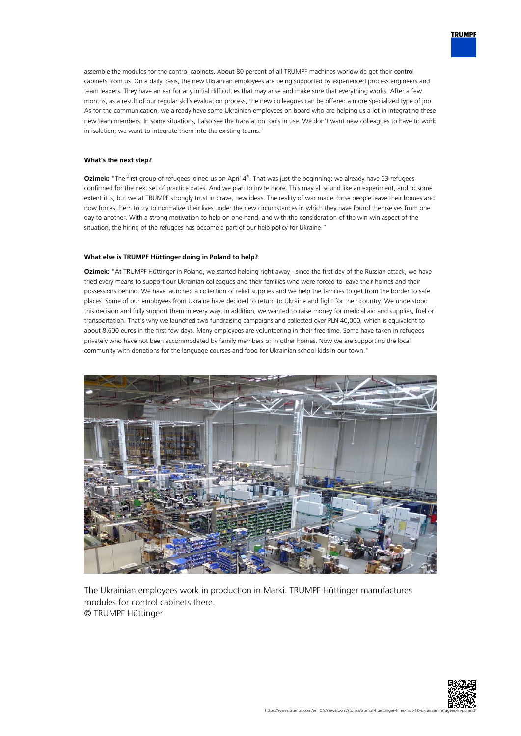assemble the modules for the control cabinets. About 80 percent of all TRUMPF machines worldwide get their control cabinets from us. On a daily basis, the new Ukrainian employees are being supported by experienced process engineers and team leaders. They have an ear for any initial difficulties that may arise and make sure that everything works. After a few months, as a result of our regular skills evaluation process, the new colleagues can be offered a more specialized type of job. As for the communication, we already have some Ukrainian employees on board who are helping us a lot in integrating these new team members. In some situations, I also see the translation tools in use. We don't want new colleagues to have to work in isolation; we want to integrate them into the existing teams."

## **What's the next step?**

**Ozimek:** "The first group of refugees joined us on April 4<sup>th</sup>. That was just the beginning: we already have 23 refugees confirmed for the next set of practice dates. And we plan to invite more. This may all sound like an experiment, and to some extent it is, but we at TRUMPF strongly trust in brave, new ideas. The reality of war made those people leave their homes and now forces them to try to normalize their lives under the new circumstances in which they have found themselves from one day to another. With a strong motivation to help on one hand, and with the consideration of the win-win aspect of the situation, the hiring of the refugees has become a part of our help policy for Ukraine."

### **What else is TRUMPF Hüttinger doing in Poland to help?**

**Ozimek:** "At TRUMPF Hüttinger in Poland, we started helping right away - since the first day of the Russian attack, we have tried every means to support our Ukrainian colleagues and their families who were forced to leave their homes and their possessions behind. We have launched a collection of relief supplies and we help the families to get from the border to safe places. Some of our employees from Ukraine have decided to return to Ukraine and fight for their country. We understood this decision and fully support them in every way. In addition, we wanted to raise money for medical aid and supplies, fuel or transportation. That's why we launched two fundraising campaigns and collected over PLN 40,000, which is equivalent to about 8,600 euros in the first few days. Many employees are volunteering in their free time. Some have taken in refugees privately who have not been accommodated by family members or in other homes. Now we are supporting the local community with donations for the language courses and food for Ukrainian school kids in our town."



The Ukrainian employees work in production in Marki. TRUMPF Hüttinger manufactures modules for control cabinets there. © TRUMPF Hüttinger



**TRUMPF**